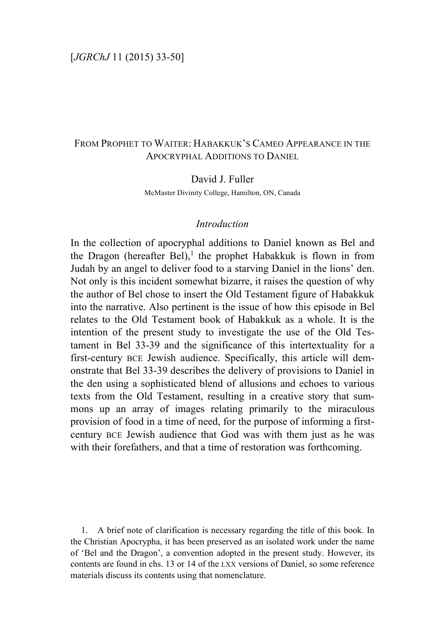# FROM PROPHET TO WAITER: HABAKKUK'S CAMEO APPEARANCE IN THE APOCRYPHAL ADDITIONS TO DANIEL

David J. Fuller

McMaster Divinity College, Hamilton, ON, Canada

### *Introduction*

In the collection of apocryphal additions to Daniel known as Bel and the Dragon (hereafter Bel),<sup>1</sup> the prophet Habakkuk is flown in from Judah by an angel to deliver food to a starving Daniel in the lions' den. Not only is this incident somewhat bizarre, it raises the question of why the author of Bel chose to insert the Old Testament figure of Habakkuk into the narrative. Also pertinent is the issue of how this episode in Bel relates to the Old Testament book of Habakkuk as a whole. It is the intention of the present study to investigate the use of the Old Testament in Bel 33-39 and the significance of this intertextuality for a first-century BCE Jewish audience. Specifically, this article will demonstrate that Bel 33-39 describes the delivery of provisions to Daniel in the den using a sophisticated blend of allusions and echoes to various texts from the Old Testament, resulting in a creative story that summons up an array of images relating primarily to the miraculous provision of food in a time of need, for the purpose of informing a firstcentury BCE Jewish audience that God was with them just as he was with their forefathers, and that a time of restoration was forthcoming.

1. A brief note of clarification is necessary regarding the title of this book. In the Christian Apocrypha, it has been preserved as an isolated work under the name of 'Bel and the Dragon', a convention adopted in the present study. However, its contents are found in chs. 13 or 14 of the LXX versions of Daniel, so some reference materials discuss its contents using that nomenclature.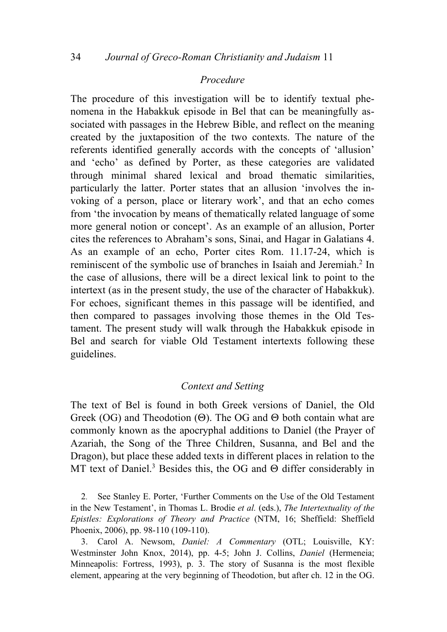### *Procedure*

The procedure of this investigation will be to identify textual phenomena in the Habakkuk episode in Bel that can be meaningfully associated with passages in the Hebrew Bible, and reflect on the meaning created by the juxtaposition of the two contexts. The nature of the referents identified generally accords with the concepts of 'allusion' and 'echo' as defined by Porter, as these categories are validated through minimal shared lexical and broad thematic similarities, particularly the latter. Porter states that an allusion 'involves the invoking of a person, place or literary work', and that an echo comes from 'the invocation by means of thematically related language of some more general notion or concept'. As an example of an allusion, Porter cites the references to Abraham's sons, Sinai, and Hagar in Galatians 4. As an example of an echo, Porter cites Rom. 11.17-24, which is reminiscent of the symbolic use of branches in Isaiah and Jeremiah.<sup>2</sup> In the case of allusions, there will be a direct lexical link to point to the intertext (as in the present study, the use of the character of Habakkuk). For echoes, significant themes in this passage will be identified, and then compared to passages involving those themes in the Old Testament. The present study will walk through the Habakkuk episode in Bel and search for viable Old Testament intertexts following these guidelines.

### *Context and Setting*

The text of Bel is found in both Greek versions of Daniel, the Old Greek (OG) and Theodotion ( $\Theta$ ). The OG and  $\Theta$  both contain what are commonly known as the apocryphal additions to Daniel (the Prayer of Azariah, the Song of the Three Children, Susanna, and Bel and the Dragon), but place these added texts in different places in relation to the MT text of Daniel.<sup>3</sup> Besides this, the OG and  $\Theta$  differ considerably in

2. See Stanley E. Porter, 'Further Comments on the Use of the Old Testament in the New Testament', in Thomas L. Brodie *et al.* (eds.), *The Intertextuality of the Epistles: Explorations of Theory and Practice* (NTM, 16; Sheffield: Sheffield Phoenix, 2006), pp. 98-110 (109-110).

3. Carol A. Newsom, *Daniel: A Commentary* (OTL; Louisville, KY: Westminster John Knox, 2014), pp. 4-5; John J. Collins, *Daniel* (Hermeneia; Minneapolis: Fortress, 1993), p. 3. The story of Susanna is the most flexible element, appearing at the very beginning of Theodotion, but after ch. 12 in the OG.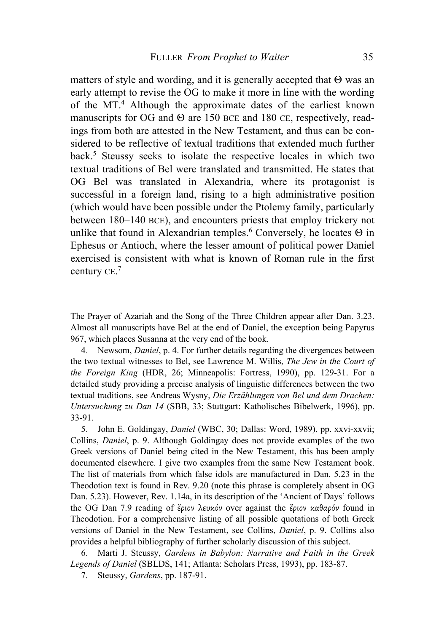matters of style and wording, and it is generally accepted that  $\Theta$  was an early attempt to revise the OG to make it more in line with the wording of the MT.4 Although the approximate dates of the earliest known manuscripts for OG and Θ are 150 BCE and 180 CE, respectively, readings from both are attested in the New Testament, and thus can be considered to be reflective of textual traditions that extended much further back.<sup>5</sup> Steussy seeks to isolate the respective locales in which two textual traditions of Bel were translated and transmitted. He states that OG Bel was translated in Alexandria, where its protagonist is successful in a foreign land, rising to a high administrative position (which would have been possible under the Ptolemy family, particularly between 180–140 BCE), and encounters priests that employ trickery not unlike that found in Alexandrian temples.<sup>6</sup> Conversely, he locates  $\Theta$  in Ephesus or Antioch, where the lesser amount of political power Daniel exercised is consistent with what is known of Roman rule in the first century CE.<sup>7</sup>

The Prayer of Azariah and the Song of the Three Children appear after Dan. 3.23. Almost all manuscripts have Bel at the end of Daniel, the exception being Papyrus 967, which places Susanna at the very end of the book.

4. Newsom, *Daniel*, p. 4. For further details regarding the divergences between the two textual witnesses to Bel, see Lawrence M. Willis, *The Jew in the Court of the Foreign King* (HDR, 26; Minneapolis: Fortress, 1990), pp. 129-31. For a detailed study providing a precise analysis of linguistic differences between the two textual traditions, see Andreas Wysny, *Die Erzählungen von Bel und dem Drachen: Untersuchung zu Dan 14* (SBB, 33; Stuttgart: Katholisches Bibelwerk, 1996), pp. 33-91.

5. John E. Goldingay, *Daniel* (WBC, 30; Dallas: Word, 1989), pp. xxvi-xxvii; Collins, *Daniel*, p. 9. Although Goldingay does not provide examples of the two Greek versions of Daniel being cited in the New Testament, this has been amply documented elsewhere. I give two examples from the same New Testament book. The list of materials from which false idols are manufactured in Dan. 5.23 in the Theodotion text is found in Rev. 9.20 (note this phrase is completely absent in OG Dan. 5.23). However, Rev. 1.14a, in its description of the 'Ancient of Days' follows the OG Dan 7.9 reading of ἔριον λευκόν over against the ἔριον καθαρόν found in Theodotion. For a comprehensive listing of all possible quotations of both Greek versions of Daniel in the New Testament, see Collins, *Daniel*, p. 9. Collins also provides a helpful bibliography of further scholarly discussion of this subject.

6. Marti J. Steussy, *Gardens in Babylon: Narrative and Faith in the Greek Legends of Daniel* (SBLDS, 141; Atlanta: Scholars Press, 1993), pp. 183-87.

7. Steussy, *Gardens*, pp. 187-91.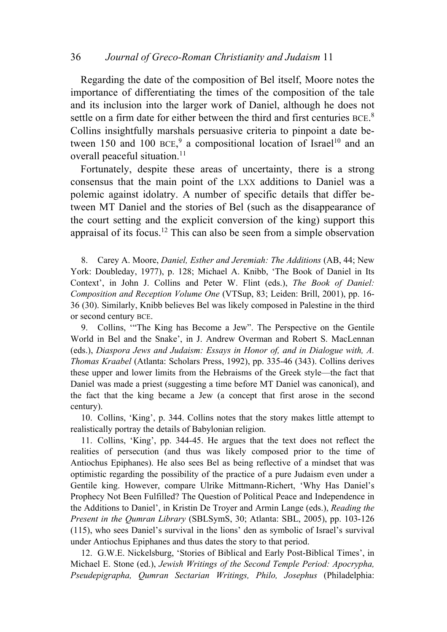Regarding the date of the composition of Bel itself, Moore notes the importance of differentiating the times of the composition of the tale and its inclusion into the larger work of Daniel, although he does not settle on a firm date for either between the third and first centuries BCE.<sup>8</sup> Collins insightfully marshals persuasive criteria to pinpoint a date between 150 and 100  $BCE$ , a compositional location of Israel<sup>10</sup> and an overall peaceful situation.<sup>11</sup>

Fortunately, despite these areas of uncertainty, there is a strong consensus that the main point of the LXX additions to Daniel was a polemic against idolatry. A number of specific details that differ between MT Daniel and the stories of Bel (such as the disappearance of the court setting and the explicit conversion of the king) support this appraisal of its focus.12 This can also be seen from a simple observation

8. Carey A. Moore, *Daniel, Esther and Jeremiah: The Additions* (AB, 44; New York: Doubleday, 1977), p. 128; Michael A. Knibb, 'The Book of Daniel in Its Context', in John J. Collins and Peter W. Flint (eds.), *The Book of Daniel: Composition and Reception Volume One* (VTSup, 83; Leiden: Brill, 2001), pp. 16- 36 (30). Similarly, Knibb believes Bel was likely composed in Palestine in the third or second century BCE.

9. Collins, '"The King has Become a Jew". The Perspective on the Gentile World in Bel and the Snake', in J. Andrew Overman and Robert S. MacLennan (eds.), *Diaspora Jews and Judaism: Essays in Honor of, and in Dialogue with, A. Thomas Kraabel* (Atlanta: Scholars Press, 1992), pp. 335-46 (343). Collins derives these upper and lower limits from the Hebraisms of the Greek style—the fact that Daniel was made a priest (suggesting a time before MT Daniel was canonical), and the fact that the king became a Jew (a concept that first arose in the second century).

10. Collins, 'King', p. 344. Collins notes that the story makes little attempt to realistically portray the details of Babylonian religion.

11. Collins, 'King', pp. 344-45. He argues that the text does not reflect the realities of persecution (and thus was likely composed prior to the time of Antiochus Epiphanes). He also sees Bel as being reflective of a mindset that was optimistic regarding the possibility of the practice of a pure Judaism even under a Gentile king. However, compare Ulrike Mittmann-Richert, 'Why Has Daniel's Prophecy Not Been Fulfilled? The Question of Political Peace and Independence in the Additions to Daniel', in Kristin De Troyer and Armin Lange (eds.), *Reading the Present in the Qumran Library* (SBLSymS, 30; Atlanta: SBL, 2005), pp. 103-126 (115), who sees Daniel's survival in the lions' den as symbolic of Israel's survival under Antiochus Epiphanes and thus dates the story to that period.

12. G.W.E. Nickelsburg, 'Stories of Biblical and Early Post-Biblical Times', in Michael E. Stone (ed.), *Jewish Writings of the Second Temple Period: Apocrypha, Pseudepigrapha, Qumran Sectarian Writings, Philo, Josephus* (Philadelphia: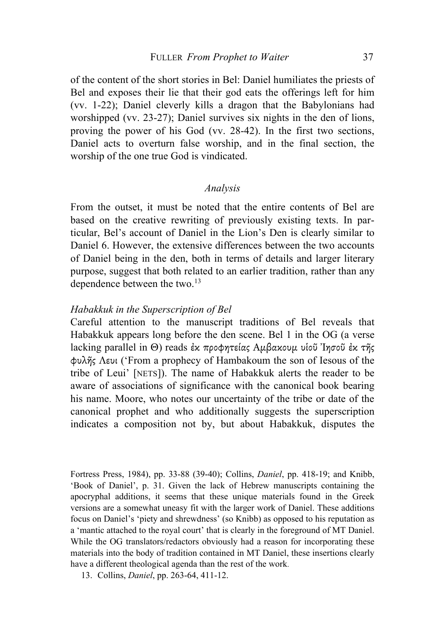of the content of the short stories in Bel: Daniel humiliates the priests of Bel and exposes their lie that their god eats the offerings left for him (vv. 1-22); Daniel cleverly kills a dragon that the Babylonians had worshipped (vv. 23-27); Daniel survives six nights in the den of lions, proving the power of his God (vv. 28-42). In the first two sections, Daniel acts to overturn false worship, and in the final section, the worship of the one true God is vindicated.

# *Analysis*

From the outset, it must be noted that the entire contents of Bel are based on the creative rewriting of previously existing texts. In particular, Bel's account of Daniel in the Lion's Den is clearly similar to Daniel 6. However, the extensive differences between the two accounts of Daniel being in the den, both in terms of details and larger literary purpose, suggest that both related to an earlier tradition, rather than any dependence between the two.13

## *Habakkuk in the Superscription of Bel*

Careful attention to the manuscript traditions of Bel reveals that Habakkuk appears long before the den scene. Bel 1 in the OG (a verse lacking parallel in Θ) reads ἐκ προφητείας Αµβακουµ υἱοῦ Ἰησοῦ ἐκ τῆς φυλῆς Λευι ('From a prophecy of Hambakoum the son of Iesous of the tribe of Leui' [NETS]). The name of Habakkuk alerts the reader to be aware of associations of significance with the canonical book bearing his name. Moore, who notes our uncertainty of the tribe or date of the canonical prophet and who additionally suggests the superscription indicates a composition not by, but about Habakkuk, disputes the

Fortress Press, 1984), pp. 33-88 (39-40); Collins, *Daniel*, pp. 418-19; and Knibb, 'Book of Daniel', p. 31. Given the lack of Hebrew manuscripts containing the apocryphal additions, it seems that these unique materials found in the Greek versions are a somewhat uneasy fit with the larger work of Daniel. These additions focus on Daniel's 'piety and shrewdness' (so Knibb) as opposed to his reputation as a 'mantic attached to the royal court' that is clearly in the foreground of MT Daniel. While the OG translators/redactors obviously had a reason for incorporating these materials into the body of tradition contained in MT Daniel, these insertions clearly have a different theological agenda than the rest of the work.

13. Collins, *Daniel*, pp. 263-64, 411-12.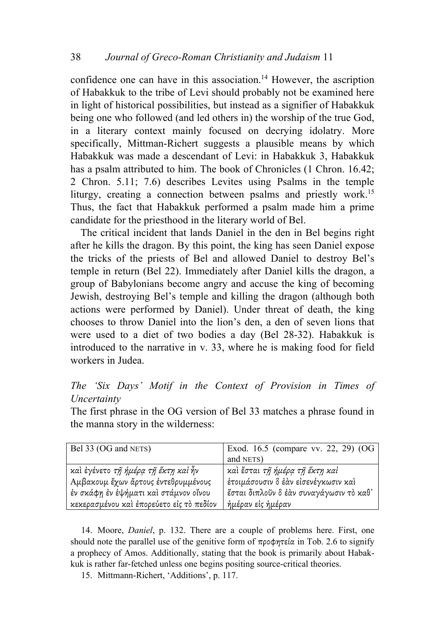confidence one can have in this association. <sup>14</sup> However, the ascription of Habakkuk to the tribe of Levi should probably not be examined here in light of historical possibilities, but instead as a signifier of Habakkuk being one who followed (and led others in) the worship of the true God, in a literary context mainly focused on decrying idolatry. More specifically, Mittman-Richert suggests a plausible means by which Habakkuk was made a descendant of Levi: in Habakkuk 3, Habakkuk has a psalm attributed to him. The book of Chronicles (1 Chron. 16.42; 2 Chron. 5.11; 7.6) describes Levites using Psalms in the temple liturgy, creating a connection between psalms and priestly work.<sup>15</sup> Thus, the fact that Habakkuk performed a psalm made him a prime candidate for the priesthood in the literary world of Bel.

The critical incident that lands Daniel in the den in Bel begins right after he kills the dragon. By this point, the king has seen Daniel expose the tricks of the priests of Bel and allowed Daniel to destroy Bel's temple in return (Bel 22). Immediately after Daniel kills the dragon, a group of Babylonians become angry and accuse the king of becoming Jewish, destroying Bel's temple and killing the dragon (although both actions were performed by Daniel). Under threat of death, the king chooses to throw Daniel into the lion's den, a den of seven lions that were used to a diet of two bodies a day (Bel 28-32). Habakkuk is introduced to the narrative in v. 33, where he is making food for field workers in Judea.

*The 'Six Days' Motif in the Context of Provision in Times of Uncertainty*

The first phrase in the OG version of Bel 33 matches a phrase found in the manna story in the wilderness:

| Bel 33 (OG and NETS)                     | Exod. 16.5 (compare vv. 22, 29) (OG     |
|------------------------------------------|-----------------------------------------|
|                                          | and NETS)                               |
| και έγένετο τη ήμέρα τη έκτη και ήν      | καί έσται τη ήμέρα τη έκτη καί          |
| Αμβακουμ έχων άρτους έντεθρυμμένους      | έτοιμάσουσιν δ έαν είσενέγκωσιν καὶ     |
| έν σκάφη έν έψήματι καὶ στάμνον οἴνου    | έσται διπλοῦν ὃ ἐάν συναγάγωσιν τὸ καθ' |
| κεκερασμένου και έπορεύετο είς το πεδίον | ήμέραν εἰς ἡμέραν                       |

14. Moore, *Daniel*, p. 132. There are a couple of problems here. First, one should note the parallel use of the genitive form of  $\pi \rho \circ \phi \eta \tau \in \alpha$  in Tob. 2.6 to signify a prophecy of Amos. Additionally, stating that the book is primarily about Habakkuk is rather far-fetched unless one begins positing source-critical theories.

15. Mittmann-Richert, 'Additions', p. 117.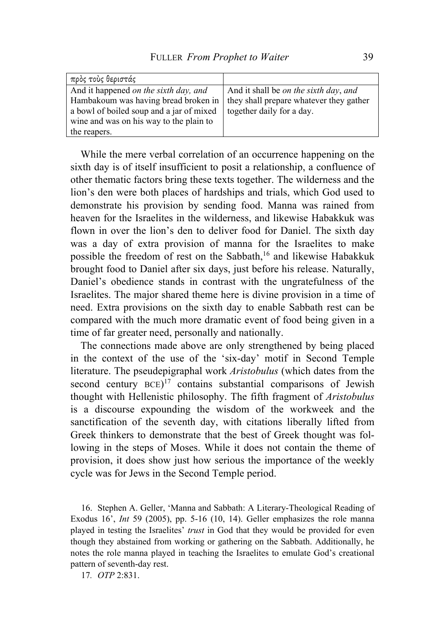| πρὸς τοὺς θεριστάς                       |                                         |
|------------------------------------------|-----------------------------------------|
| And it happened on the sixth day, and    | And it shall be on the sixth day, and   |
| Hambakoum was having bread broken in     | they shall prepare whatever they gather |
| a bowl of boiled soup and a jar of mixed | together daily for a day.               |
| wine and was on his way to the plain to  |                                         |
| the reapers.                             |                                         |

While the mere verbal correlation of an occurrence happening on the sixth day is of itself insufficient to posit a relationship, a confluence of other thematic factors bring these texts together. The wilderness and the lion's den were both places of hardships and trials, which God used to demonstrate his provision by sending food. Manna was rained from heaven for the Israelites in the wilderness, and likewise Habakkuk was flown in over the lion's den to deliver food for Daniel. The sixth day was a day of extra provision of manna for the Israelites to make possible the freedom of rest on the Sabbath,<sup>16</sup> and likewise Habakkuk brought food to Daniel after six days, just before his release. Naturally, Daniel's obedience stands in contrast with the ungratefulness of the Israelites. The major shared theme here is divine provision in a time of need. Extra provisions on the sixth day to enable Sabbath rest can be compared with the much more dramatic event of food being given in a time of far greater need, personally and nationally.

The connections made above are only strengthened by being placed in the context of the use of the 'six-day' motif in Second Temple literature. The pseudepigraphal work *Aristobulus* (which dates from the second century  $BCE$ <sup>17</sup> contains substantial comparisons of Jewish thought with Hellenistic philosophy. The fifth fragment of *Aristobulus* is a discourse expounding the wisdom of the workweek and the sanctification of the seventh day, with citations liberally lifted from Greek thinkers to demonstrate that the best of Greek thought was following in the steps of Moses. While it does not contain the theme of provision, it does show just how serious the importance of the weekly cycle was for Jews in the Second Temple period.

16. Stephen A. Geller, 'Manna and Sabbath: A Literary-Theological Reading of Exodus 16', *Int* 59 (2005), pp. 5-16 (10, 14). Geller emphasizes the role manna played in testing the Israelites' *trust* in God that they would be provided for even though they abstained from working or gathering on the Sabbath. Additionally, he notes the role manna played in teaching the Israelites to emulate God's creational pattern of seventh-day rest.

17*. OTP* 2:831.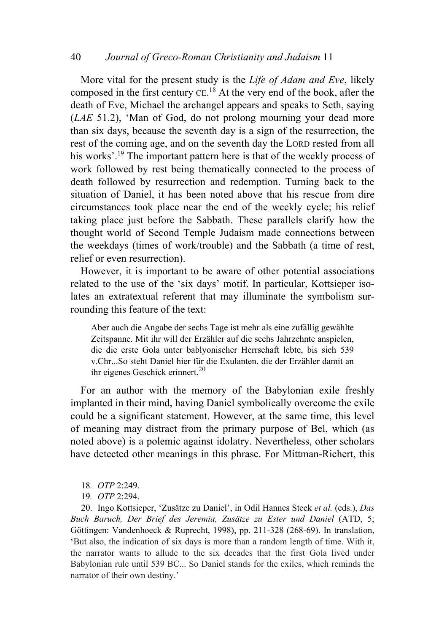# 40 *Journal of Greco-Roman Christianity and Judaism* 11

More vital for the present study is the *Life of Adam and Eve*, likely composed in the first century  $CE$ .<sup>18</sup> At the very end of the book, after the death of Eve, Michael the archangel appears and speaks to Seth, saying (*LAE* 51.2), 'Man of God, do not prolong mourning your dead more than six days, because the seventh day is a sign of the resurrection, the rest of the coming age, and on the seventh day the LORD rested from all his works'.<sup>19</sup> The important pattern here is that of the weekly process of work followed by rest being thematically connected to the process of death followed by resurrection and redemption. Turning back to the situation of Daniel, it has been noted above that his rescue from dire circumstances took place near the end of the weekly cycle; his relief taking place just before the Sabbath. These parallels clarify how the thought world of Second Temple Judaism made connections between the weekdays (times of work/trouble) and the Sabbath (a time of rest, relief or even resurrection).

However, it is important to be aware of other potential associations related to the use of the 'six days' motif. In particular, Kottsieper isolates an extratextual referent that may illuminate the symbolism surrounding this feature of the text:

Aber auch die Angabe der sechs Tage ist mehr als eine zufällig gewählte Zeitspanne. Mit ihr will der Erzähler auf die sechs Jahrzehnte anspielen, die die erste Gola unter bablyonischer Herrschaft lebte, bis sich 539 v.Chr...So steht Daniel hier für die Exulanten, die der Erzähler damit an ihr eigenes Geschick erinnert.<sup>20</sup>

For an author with the memory of the Babylonian exile freshly implanted in their mind, having Daniel symbolically overcome the exile could be a significant statement. However, at the same time, this level of meaning may distract from the primary purpose of Bel, which (as noted above) is a polemic against idolatry. Nevertheless, other scholars have detected other meanings in this phrase. For Mittman-Richert, this

- 18*. OTP* 2:249.
- 19*. OTP* 2:294.

20. Ingo Kottsieper, 'Zusätze zu Daniel', in Odil Hannes Steck *et al.* (eds.), *Das Buch Baruch, Der Brief des Jeremia, Zusätze zu Ester und Daniel* (ATD, 5; Göttingen: Vandenhoeck & Ruprecht, 1998), pp. 211-328 (268-69). In translation, 'But also, the indication of six days is more than a random length of time. With it, the narrator wants to allude to the six decades that the first Gola lived under Babylonian rule until 539 BC... So Daniel stands for the exiles, which reminds the narrator of their own destiny.'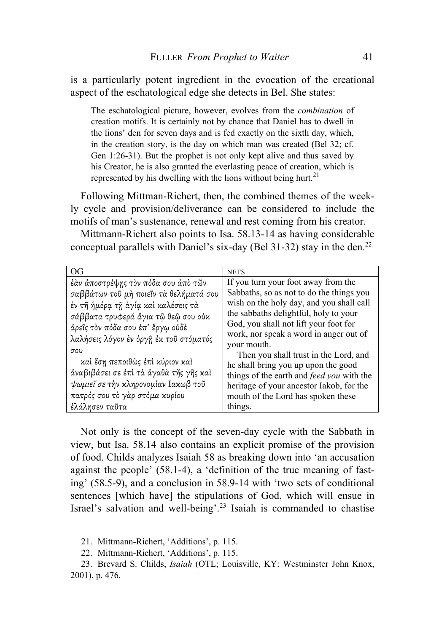is a particularly potent ingredient in the evocation of the creational aspect of the eschatological edge she detects in Bel. She states:

The eschatological picture, however, evolves from the *combination* of creation motifs. It is certainly not by chance that Daniel has to dwell in the lions' den for seven days and is fed exactly on the sixth day, which, in the creation story, is the day on which man was created (Bel 32; cf. Gen 1:26-31). But the prophet is not only kept alive and thus saved by his Creator, he is also granted the everlasting peace of creation, which is represented by his dwelling with the lions without being hurt.<sup>21</sup>

Following Mittman-Richert, then, the combined themes of the weekly cycle and provision/deliverance can be considered to include the motifs of man's sustenance, renewal and rest coming from his creator.

Mittmann-Richert also points to Isa. 58.13-14 as having considerable conceptual parallels with Daniel's six-day (Bel 31-32) stay in the den.<sup>22</sup>

| OG                                                                                                                                                                                                                                                                                                                                                                                                     | <b>NETS</b>                                                                                                                                                                                                                                                                                                                                                                                                                                                                                  |
|--------------------------------------------------------------------------------------------------------------------------------------------------------------------------------------------------------------------------------------------------------------------------------------------------------------------------------------------------------------------------------------------------------|----------------------------------------------------------------------------------------------------------------------------------------------------------------------------------------------------------------------------------------------------------------------------------------------------------------------------------------------------------------------------------------------------------------------------------------------------------------------------------------------|
| έὰν ἀποστρέψης τὸν πόδα σου ἀπὸ τῶν<br>σαββάτων τοῦ μὴ ποιεῖν τὰ θελήματά σου<br>έν τῆ ἡμέρα τῆ ἁγία καὶ καλέσεις τὰ<br>σάββατα τρυφερά ἅγια τῷ θεῷ σου οὐκ<br>άρεῖς τὸν πόδα σου ἐπ' ἔργω οὐδε<br>λαλήσεις λόγον έν όργῆ ἐκ τοῦ στόματός<br>σου<br>καὶ ἔση πεποιθὼς ἐπὶ κύριον καὶ<br>άναβιβάσει σε έπι τα άγαθα της γης και<br>ψωμιεΐ σε την κληρονομίαν Ιακωβ τοῦ<br>πατρός σου τὸ γὰρ στόμα κυρίου | If you turn your foot away from the<br>Sabbaths, so as not to do the things you<br>wish on the holy day, and you shall call<br>the sabbaths delightful, holy to your<br>God, you shall not lift your foot for<br>work, nor speak a word in anger out of<br>your mouth.<br>Then you shall trust in the Lord, and<br>he shall bring you up upon the good<br>things of the earth and <i>feed you</i> with the<br>heritage of your ancestor Iakob, for the<br>mouth of the Lord has spoken these |
| ἐλάλησεν ταῦτα                                                                                                                                                                                                                                                                                                                                                                                         | things.                                                                                                                                                                                                                                                                                                                                                                                                                                                                                      |

Not only is the concept of the seven-day cycle with the Sabbath in view, but Isa. 58.14 also contains an explicit promise of the provision of food. Childs analyzes Isaiah 58 as breaking down into 'an accusation against the people' (58.1-4), a 'definition of the true meaning of fasting' (58.5-9), and a conclusion in 58.9-14 with 'two sets of conditional sentences [which have] the stipulations of God, which will ensue in Israel's salvation and well-being'.23 Isaiah is commanded to chastise

21. Mittmann-Richert, 'Additions', p. 115.

22. Mittmann-Richert, 'Additions', p. 115.

23. Brevard S. Childs, *Isaiah* (OTL; Louisville, KY: Westminster John Knox, 2001), p. 476.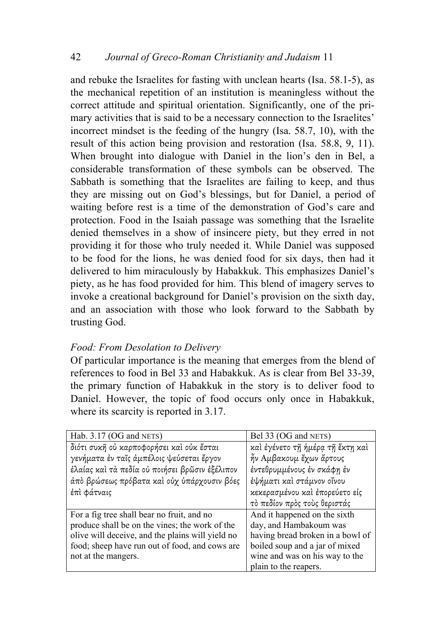and rebuke the Israelites for fasting with unclean hearts (Isa. 58.1-5), as the mechanical repetition of an institution is meaningless without the correct attitude and spiritual orientation. Significantly, one of the primary activities that is said to be a necessary connection to the Israelites' incorrect mindset is the feeding of the hungry (Isa. 58.7, 10), with the result of this action being provision and restoration (Isa. 58.8, 9, 11). When brought into dialogue with Daniel in the lion's den in Bel, a considerable transformation of these symbols can be observed. The Sabbath is something that the Israelites are failing to keep, and thus they are missing out on God's blessings, but for Daniel, a period of waiting before rest is a time of the demonstration of God's care and protection. Food in the Isaiah passage was something that the Israelite denied themselves in a show of insincere piety, but they erred in not providing it for those who truly needed it. While Daniel was supposed to be food for the lions, he was denied food for six days, then had it delivered to him miraculously by Habakkuk. This emphasizes Daniel's piety, as he has food provided for him. This blend of imagery serves to invoke a creational background for Daniel's provision on the sixth day, and an association with those who look forward to the Sabbath by trusting God.

# *Food: From Desolation to Delivery*

Of particular importance is the meaning that emerges from the blend of references to food in Bel 33 and Habakkuk. As is clear from Bel 33-39, the primary function of Habakkuk in the story is to deliver food to Daniel. However, the topic of food occurs only once in Habakkuk, where its scarcity is reported in 3.17.

| Hab. 3.17 (OG and NETS)                          | Bel 33 (OG and NETS)             |
|--------------------------------------------------|----------------------------------|
| διότι συκή ού καρποφορήσει και ούκ έσται         | καί έγένετο τῆ ἡμέρα τῆ ἕκτη καί |
| γενήματα έν ταῖς ἀμπέλοις ψεύσεται ἔργον         | ἦν Αμβακουμ ἔχων ἄρτους          |
| έλαίας και τα πεδία ού ποιήσει βρῶσιν ἐξέλιπον   | έντεθρυμμένους έν σκάφη έν       |
| άπό βρώσεως πρόβατα και ούχ υπάρχουσιν βόες      | έψήματι καὶ στάμνον οἴνου        |
| έπὶ φάτναις                                      | κεκερασμένου και έπορεύετο είς   |
|                                                  | τό πεδίον πρός τούς θεριστάς     |
| For a fig tree shall bear no fruit, and no       | And it happened on the sixth     |
| produce shall be on the vines; the work of the   | day, and Hambakoum was           |
| olive will deceive, and the plains will yield no | having bread broken in a bowl of |
| food; sheep have run out of food, and cows are   | boiled soup and a jar of mixed   |
| not at the mangers.                              | wine and was on his way to the   |
|                                                  | plain to the reapers.            |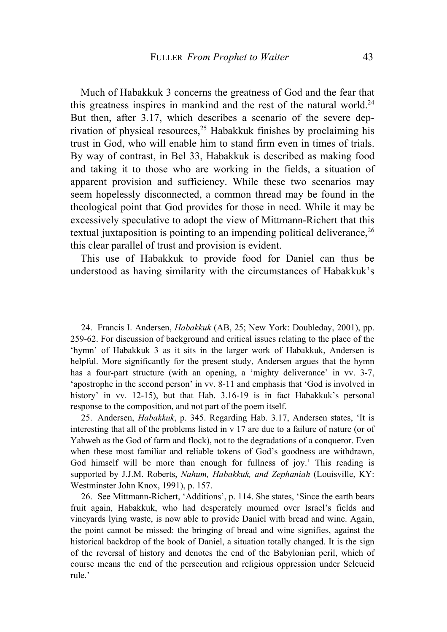Much of Habakkuk 3 concerns the greatness of God and the fear that this greatness inspires in mankind and the rest of the natural world.<sup>24</sup> But then, after 3.17, which describes a scenario of the severe deprivation of physical resources,<sup>25</sup> Habakkuk finishes by proclaiming his trust in God, who will enable him to stand firm even in times of trials. By way of contrast, in Bel 33, Habakkuk is described as making food and taking it to those who are working in the fields, a situation of apparent provision and sufficiency. While these two scenarios may seem hopelessly disconnected, a common thread may be found in the theological point that God provides for those in need. While it may be excessively speculative to adopt the view of Mittmann-Richert that this textual juxtaposition is pointing to an impending political deliverance,  $2<sup>6</sup>$ this clear parallel of trust and provision is evident.

This use of Habakkuk to provide food for Daniel can thus be understood as having similarity with the circumstances of Habakkuk's

24. Francis I. Andersen, *Habakkuk* (AB, 25; New York: Doubleday, 2001), pp. 259-62. For discussion of background and critical issues relating to the place of the 'hymn' of Habakkuk 3 as it sits in the larger work of Habakkuk, Andersen is helpful. More significantly for the present study, Andersen argues that the hymn has a four-part structure (with an opening, a 'mighty deliverance' in vv. 3-7, 'apostrophe in the second person' in vv. 8-11 and emphasis that 'God is involved in history' in vv. 12-15), but that Hab. 3.16-19 is in fact Habakkuk's personal response to the composition, and not part of the poem itself.

25. Andersen, *Habakkuk*, p. 345. Regarding Hab. 3.17, Andersen states, 'It is interesting that all of the problems listed in v 17 are due to a failure of nature (or of Yahweh as the God of farm and flock), not to the degradations of a conqueror. Even when these most familiar and reliable tokens of God's goodness are withdrawn, God himself will be more than enough for fullness of joy.' This reading is supported by J.J.M. Roberts, *Nahum, Habakkuk, and Zephaniah* (Louisville, KY: Westminster John Knox, 1991), p. 157.

26. See Mittmann-Richert, 'Additions', p. 114. She states, 'Since the earth bears fruit again, Habakkuk, who had desperately mourned over Israel's fields and vineyards lying waste, is now able to provide Daniel with bread and wine. Again, the point cannot be missed: the bringing of bread and wine signifies, against the historical backdrop of the book of Daniel, a situation totally changed. It is the sign of the reversal of history and denotes the end of the Babylonian peril, which of course means the end of the persecution and religious oppression under Seleucid rule.'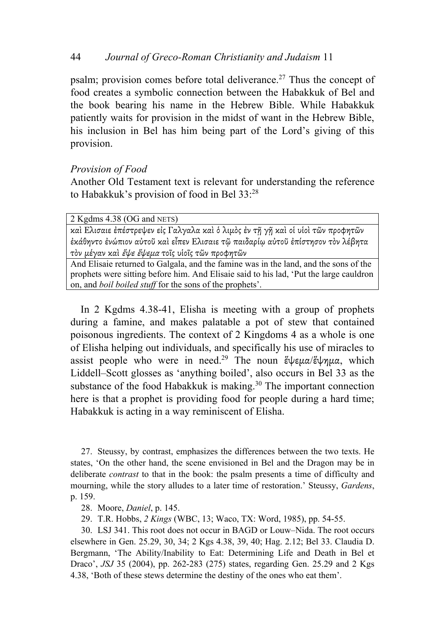# 44 *Journal of Greco-Roman Christianity and Judaism* 11

psalm; provision comes before total deliverance.<sup>27</sup> Thus the concept of food creates a symbolic connection between the Habakkuk of Bel and the book bearing his name in the Hebrew Bible. While Habakkuk patiently waits for provision in the midst of want in the Hebrew Bible, his inclusion in Bel has him being part of the Lord's giving of this provision.

### *Provision of Food*

Another Old Testament text is relevant for understanding the reference to Habakkuk's provision of food in Bel 33:28

2 Kgdms 4.38 (OG and NETS)

καὶ Ελισαιε ἐπέστρεψεν εἰς Γαλγαλα καὶ ὁ λιµὸς ἐν τῇ γῇ καὶ οἱ υἱοὶ τῶν προφητῶν ἐκάθηντο ἐνώπιον αὐτοῦ καὶ εἶπεν Ελισαιε τῷ παιδαρίῳ αὐτοῦ ἐπίστησον τὸν λέβητα τὸν µέγαν καὶ ἕψε ἕψεµ<sup>α</sup> τοῖς υἱοῖς τῶν προφητῶν

And Elisaie returned to Galgala, and the famine was in the land, and the sons of the prophets were sitting before him. And Elisaie said to his lad, 'Put the large cauldron on, and *boil boiled stuff* for the sons of the prophets'.

In 2 Kgdms 4.38-41, Elisha is meeting with a group of prophets during a famine, and makes palatable a pot of stew that contained poisonous ingredients. The context of 2 Kingdoms 4 as a whole is one of Elisha helping out individuals, and specifically his use of miracles to assist people who were in need.<sup>29</sup> The noun ἕψεμα/ἕψημα, which Liddell–Scott glosses as 'anything boiled', also occurs in Bel 33 as the substance of the food Habakkuk is making.<sup>30</sup> The important connection here is that a prophet is providing food for people during a hard time; Habakkuk is acting in a way reminiscent of Elisha.

27. Steussy, by contrast, emphasizes the differences between the two texts. He states, 'On the other hand, the scene envisioned in Bel and the Dragon may be in deliberate *contrast* to that in the book: the psalm presents a time of difficulty and mourning, while the story alludes to a later time of restoration.' Steussy, *Gardens*, p. 159.

28. Moore, *Daniel*, p. 145.

29. T.R. Hobbs, *2 Kings* (WBC, 13; Waco, TX: Word, 1985), pp. 54-55.

30. LSJ 341. This root does not occur in BAGD or Louw–Nida. The root occurs elsewhere in Gen. 25.29, 30, 34; 2 Kgs 4.38, 39, 40; Hag. 2.12; Bel 33. Claudia D. Bergmann, 'The Ability/Inability to Eat: Determining Life and Death in Bel et Draco', *JSJ* 35 (2004), pp. 262-283 (275) states, regarding Gen. 25.29 and 2 Kgs 4.38, 'Both of these stews determine the destiny of the ones who eat them'.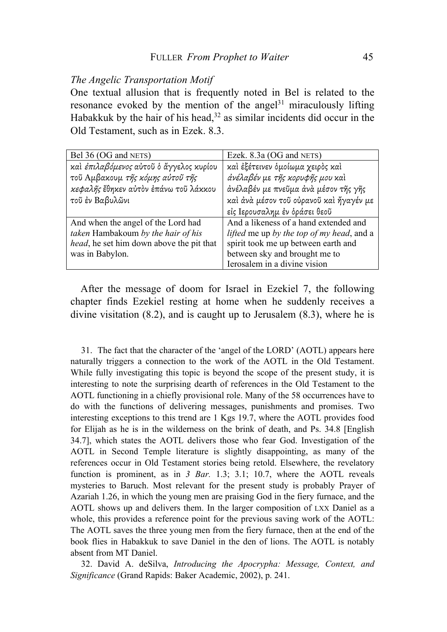#### *The Angelic Transportation Motif*

One textual allusion that is frequently noted in Bel is related to the resonance evoked by the mention of the angel $31$  miraculously lifting Habakkuk by the hair of his head, $32$  as similar incidents did occur in the Old Testament, such as in Ezek. 8.3.

| Bel 36 (OG and NETS)                     | Ezek. 8.3a (OG and NETS)                         |
|------------------------------------------|--------------------------------------------------|
| και έπιλαβόμενος αύτοῦ ὁ άγγελος κυρίου  | και έξέτεινεν δμοίωμα χειρός και                 |
| τοῦ Αμβακουμ της κόμης αὐτοῦ της         | άνέλαβέν με τῆς κορυφῆς μου καὶ                  |
| κεφαλής έθηκεν αύτον έπάνω του λάκκου    | άνέλαβέν με πνεῦμα άνὰ μέσον τῆς γῆς             |
| τοῦ ἐν Βαβυλῶνι                          | καί άνα μέσον τοῦ οὐρανοῦ καὶ ἤγαγέν με          |
|                                          | είς Ιερουσαλημ έν δράσει θεοῦ                    |
| And when the angel of the Lord had       | And a likeness of a hand extended and            |
| taken Hambakoum by the hair of his       | <i>lifted</i> me up by the top of my head, and a |
| head, he set him down above the pit that | spirit took me up between earth and              |
| was in Babylon.                          | between sky and brought me to                    |
|                                          | Ierosalem in a divine vision                     |

After the message of doom for Israel in Ezekiel 7, the following chapter finds Ezekiel resting at home when he suddenly receives a divine visitation (8.2), and is caught up to Jerusalem (8.3), where he is

31. The fact that the character of the 'angel of the LORD' (AOTL) appears here naturally triggers a connection to the work of the AOTL in the Old Testament. While fully investigating this topic is beyond the scope of the present study, it is interesting to note the surprising dearth of references in the Old Testament to the AOTL functioning in a chiefly provisional role. Many of the 58 occurrences have to do with the functions of delivering messages, punishments and promises. Two interesting exceptions to this trend are 1 Kgs 19.7, where the AOTL provides food for Elijah as he is in the wilderness on the brink of death, and Ps. 34.8 [English 34.7], which states the AOTL delivers those who fear God. Investigation of the AOTL in Second Temple literature is slightly disappointing, as many of the references occur in Old Testament stories being retold. Elsewhere, the revelatory function is prominent, as in *3 Bar.* 1.3; 3.1; 10.7, where the AOTL reveals mysteries to Baruch. Most relevant for the present study is probably Prayer of Azariah 1.26, in which the young men are praising God in the fiery furnace, and the AOTL shows up and delivers them. In the larger composition of LXX Daniel as a whole, this provides a reference point for the previous saving work of the AOTL: The AOTL saves the three young men from the fiery furnace, then at the end of the book flies in Habakkuk to save Daniel in the den of lions. The AOTL is notably absent from MT Daniel.

32. David A. deSilva, *Introducing the Apocrypha: Message, Context, and Significance* (Grand Rapids: Baker Academic, 2002), p. 241.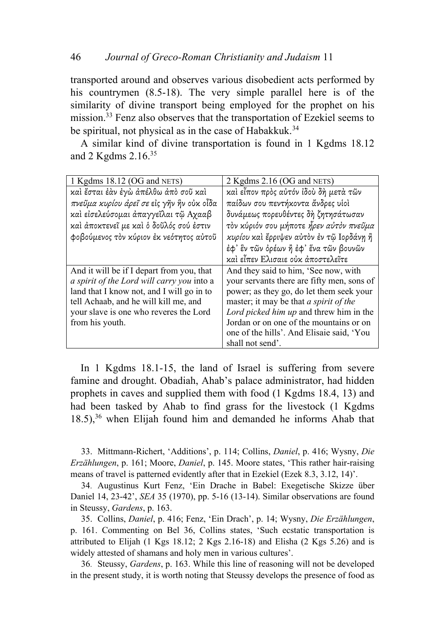transported around and observes various disobedient acts performed by his countrymen (8.5-18). The very simple parallel here is of the similarity of divine transport being employed for the prophet on his mission.<sup>33</sup> Fenz also observes that the transportation of Ezekiel seems to be spiritual, not physical as in the case of Habakkuk.<sup>34</sup>

A similar kind of divine transportation is found in 1 Kgdms 18.12 and 2 Kgdms 2.16.35

| 1 Kgdms 18.12 (OG and NETS)                | 2 Kgdms 2.16 (OG and NETS)                    |
|--------------------------------------------|-----------------------------------------------|
| καί έσται έαν έγω απέλθω άπό σοῦ καί       | καί εἶπον πρὸς αὐτόν ἰδοὺ δή μετά τῶν         |
| πνεῦμα κυρίου ἀρεῖ σε εἰς γῆν ἣν οὐκ οἶδα  | παίδων σου πεντήκοντα άνδρες υίοί             |
| καί είσελεύσομαι άπαγγεΐλαι τῷ Αχααβ       | δυνάμεως πορευθέντες δή ζητησάτωσαν           |
| καί άποκτενεῖ με καὶ ὁ δοῦλός σού ἐστιν    | τον κύριόν σου μήποτε ήρεν αύτον πνεῦμα       |
| φοβούμενος τον κύριον έκ νεότητος αύτοῦ    | κυρίου και έρριψεν αύτον έν τῷ Ιορδάνη ή      |
|                                            | έφ' ἓν τῶν ὀρέων ἢ ἐφ' ἕνα τῶν βουνῶν         |
|                                            | καί εἶπεν Ελισαιε οὐκ ἀποστελεῖτε             |
| And it will be if I depart from you, that  | And they said to him, 'See now, with          |
| a spirit of the Lord will carry you into a | your servants there are fifty men, sons of    |
| land that I know not, and I will go in to  | power; as they go, do let them seek your      |
| tell Achaab, and he will kill me, and      | master; it may be that <i>a spirit of the</i> |
| your slave is one who reveres the Lord     | Lord picked him up and threw him in the       |
| from his youth.                            | Jordan or on one of the mountains or on       |
|                                            | one of the hills'. And Elisaie said, 'You     |
|                                            | shall not send'.                              |

In 1 Kgdms 18.1-15, the land of Israel is suffering from severe famine and drought. Obadiah, Ahab's palace administrator, had hidden prophets in caves and supplied them with food (1 Kgdms 18.4, 13) and had been tasked by Ahab to find grass for the livestock (1 Kgdms  $18.5$ ,<sup>36</sup> when Elijah found him and demanded he informs Ahab that

33. Mittmann-Richert, 'Additions', p. 114; Collins, *Daniel*, p. 416; Wysny, *Die Erzählungen*, p. 161; Moore, *Daniel*, p. 145. Moore states, 'This rather hair-raising means of travel is patterned evidently after that in Ezekiel (Ezek 8.3, 3.12, 14)'.

34. Augustinus Kurt Fenz, 'Ein Drache in Babel: Exegetische Skizze über Daniel 14, 23-42', *SEA* 35 (1970), pp. 5-16 (13-14). Similar observations are found in Steussy, *Gardens*, p. 163.

35. Collins, *Daniel*, p. 416; Fenz, 'Ein Drach', p. 14; Wysny, *Die Erzählungen*, p. 161. Commenting on Bel 36, Collins states, 'Such ecstatic transportation is attributed to Elijah (1 Kgs 18.12; 2 Kgs 2.16-18) and Elisha (2 Kgs 5.26) and is widely attested of shamans and holy men in various cultures'.

36. Steussy, *Gardens*, p. 163. While this line of reasoning will not be developed in the present study, it is worth noting that Steussy develops the presence of food as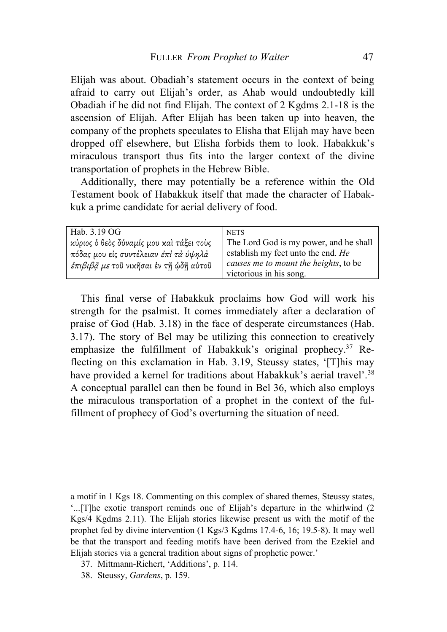Elijah was about. Obadiah's statement occurs in the context of being afraid to carry out Elijah's order, as Ahab would undoubtedly kill Obadiah if he did not find Elijah. The context of 2 Kgdms 2.1-18 is the ascension of Elijah. After Elijah has been taken up into heaven, the company of the prophets speculates to Elisha that Elijah may have been dropped off elsewhere, but Elisha forbids them to look. Habakkuk's miraculous transport thus fits into the larger context of the divine transportation of prophets in the Hebrew Bible.

Additionally, there may potentially be a reference within the Old Testament book of Habakkuk itself that made the character of Habakkuk a prime candidate for aerial delivery of food.

| Hab. 3.19 OG                             | <b>NETS</b>                            |
|------------------------------------------|----------------------------------------|
| κύριος ο θεός δύναμίς μου και τάξει τους | The Lord God is my power, and he shall |
| πόδας μου είς συντέλειαν έπι τά ύψηλά    | establish my feet unto the end. He     |
| έπιβιβά με τοῦ νικῆσαι ἐν τῆ ῳδῆ αὐτοῦ   | causes me to mount the heights, to be  |
|                                          | victorious in his song.                |

This final verse of Habakkuk proclaims how God will work his strength for the psalmist. It comes immediately after a declaration of praise of God (Hab. 3.18) in the face of desperate circumstances (Hab. 3.17). The story of Bel may be utilizing this connection to creatively emphasize the fulfillment of Habakkuk's original prophecy.<sup>37</sup> Reflecting on this exclamation in Hab. 3.19, Steussy states, '[T]his may have provided a kernel for traditions about Habakkuk's aerial travel'.<sup>38</sup> A conceptual parallel can then be found in Bel 36, which also employs the miraculous transportation of a prophet in the context of the fulfillment of prophecy of God's overturning the situation of need.

a motif in 1 Kgs 18. Commenting on this complex of shared themes, Steussy states, '...[T]he exotic transport reminds one of Elijah's departure in the whirlwind (2 Kgs/4 Kgdms 2.11). The Elijah stories likewise present us with the motif of the prophet fed by divine intervention (1 Kgs/3 Kgdms 17.4-6, 16; 19.5-8). It may well be that the transport and feeding motifs have been derived from the Ezekiel and Elijah stories via a general tradition about signs of prophetic power.'

- 37. Mittmann-Richert, 'Additions', p. 114.
- 38. Steussy, *Gardens*, p. 159.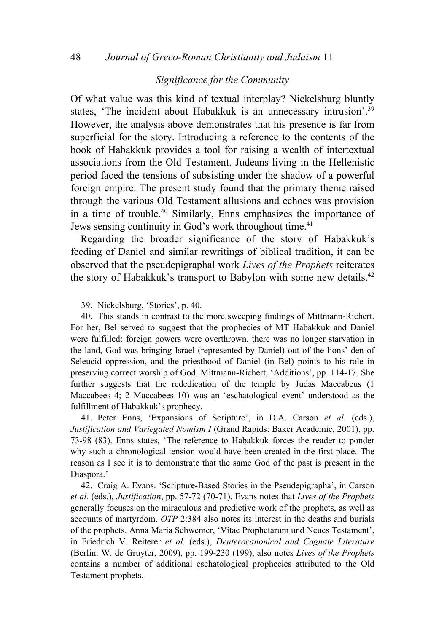### *Significance for the Community*

Of what value was this kind of textual interplay? Nickelsburg bluntly states, 'The incident about Habakkuk is an unnecessary intrusion'.39 However, the analysis above demonstrates that his presence is far from superficial for the story. Introducing a reference to the contents of the book of Habakkuk provides a tool for raising a wealth of intertextual associations from the Old Testament. Judeans living in the Hellenistic period faced the tensions of subsisting under the shadow of a powerful foreign empire. The present study found that the primary theme raised through the various Old Testament allusions and echoes was provision in a time of trouble.40 Similarly, Enns emphasizes the importance of Jews sensing continuity in God's work throughout time.<sup>41</sup>

Regarding the broader significance of the story of Habakkuk's feeding of Daniel and similar rewritings of biblical tradition, it can be observed that the pseudepigraphal work *Lives of the Prophets* reiterates the story of Habakkuk's transport to Babylon with some new details.<sup>42</sup>

39. Nickelsburg, 'Stories', p. 40.

40. This stands in contrast to the more sweeping findings of Mittmann-Richert. For her, Bel served to suggest that the prophecies of MT Habakkuk and Daniel were fulfilled: foreign powers were overthrown, there was no longer starvation in the land, God was bringing Israel (represented by Daniel) out of the lions' den of Seleucid oppression, and the priesthood of Daniel (in Bel) points to his role in preserving correct worship of God. Mittmann-Richert, 'Additions', pp. 114-17. She further suggests that the rededication of the temple by Judas Maccabeus (1 Maccabees 4; 2 Maccabees 10) was an 'eschatological event' understood as the fulfillment of Habakkuk's prophecy.

41. Peter Enns, 'Expansions of Scripture', in D.A. Carson *et al.* (eds.), *Justification and Variegated Nomism I* (Grand Rapids: Baker Academic, 2001), pp. 73-98 (83). Enns states, 'The reference to Habakkuk forces the reader to ponder why such a chronological tension would have been created in the first place. The reason as I see it is to demonstrate that the same God of the past is present in the Diaspora.'

42. Craig A. Evans. 'Scripture-Based Stories in the Pseudepigrapha', in Carson *et al.* (eds.), *Justification*, pp. 57-72 (70-71). Evans notes that *Lives of the Prophets* generally focuses on the miraculous and predictive work of the prophets, as well as accounts of martyrdom. *OTP* 2:384 also notes its interest in the deaths and burials of the prophets. Anna Maria Schwemer, 'Vitae Prophetarum und Neues Testament', in Friedrich V. Reiterer *et al*. (eds.), *Deuterocanonical and Cognate Literature* (Berlin: W. de Gruyter, 2009), pp. 199-230 (199), also notes *Lives of the Prophets* contains a number of additional eschatological prophecies attributed to the Old Testament prophets.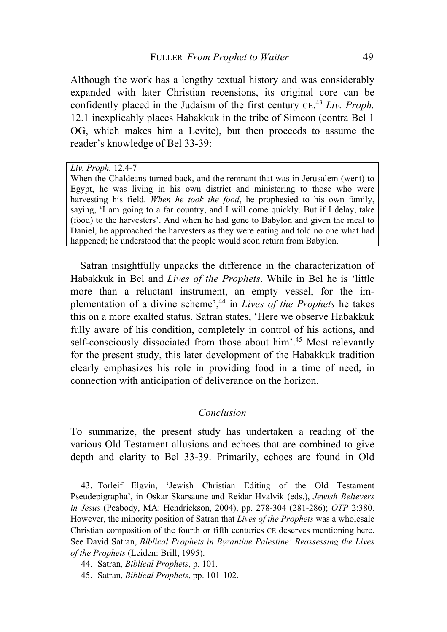Although the work has a lengthy textual history and was considerably expanded with later Christian recensions, its original core can be confidently placed in the Judaism of the first century CE. <sup>43</sup> *Liv. Proph.* 12.1 inexplicably places Habakkuk in the tribe of Simeon (contra Bel 1 OG, which makes him a Levite), but then proceeds to assume the reader's knowledge of Bel 33-39:

*Liv. Proph.* 12.4-7 When the Chaldeans turned back, and the remnant that was in Jerusalem (went) to Egypt, he was living in his own district and ministering to those who were harvesting his field. *When he took the food*, he prophesied to his own family, saying, 'I am going to a far country, and I will come quickly. But if I delay, take (food) to the harvesters'. And when he had gone to Babylon and given the meal to Daniel, he approached the harvesters as they were eating and told no one what had happened; he understood that the people would soon return from Babylon.

Satran insightfully unpacks the difference in the characterization of Habakkuk in Bel and *Lives of the Prophets*. While in Bel he is 'little more than a reluctant instrument, an empty vessel, for the implementation of a divine scheme',44 in *Lives of the Prophets* he takes this on a more exalted status. Satran states, 'Here we observe Habakkuk fully aware of his condition, completely in control of his actions, and self-consciously dissociated from those about him'.<sup>45</sup> Most relevantly for the present study, this later development of the Habakkuk tradition clearly emphasizes his role in providing food in a time of need, in connection with anticipation of deliverance on the horizon.

### *Conclusion*

To summarize, the present study has undertaken a reading of the various Old Testament allusions and echoes that are combined to give depth and clarity to Bel 33-39. Primarily, echoes are found in Old

43. Torleif Elgvin, 'Jewish Christian Editing of the Old Testament Pseudepigrapha', in Oskar Skarsaune and Reidar Hvalvik (eds.), *Jewish Believers in Jesus* (Peabody, MA: Hendrickson, 2004), pp. 278-304 (281-286); *OTP* 2:380. However, the minority position of Satran that *Lives of the Prophets* was a wholesale Christian composition of the fourth or fifth centuries CE deserves mentioning here. See David Satran, *Biblical Prophets in Byzantine Palestine: Reassessing the Lives of the Prophets* (Leiden: Brill, 1995).

44. Satran, *Biblical Prophets*, p. 101.

45. Satran, *Biblical Prophets*, pp. 101-102.